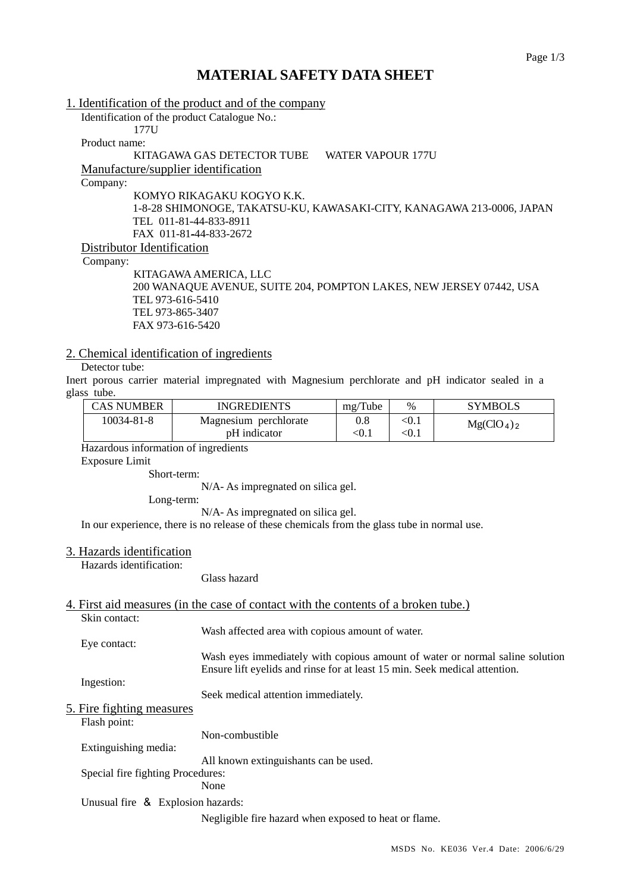# **MATERIAL SAFETY DATA SHEET**

1. Identification of the product and of the company Identification of the product Catalogue No.: 177U Product name: KITAGAWA GAS DETECTOR TUBE WATER VAPOUR 177U Manufacture/supplier identification Company: KOMYO RIKAGAKU KOGYO K.K. 1-8-28 SHIMONOGE, TAKATSU-KU, KAWASAKI-CITY, KANAGAWA 213-0006, JAPAN TEL 011-81-44-833-8911 FAX 011-81-44-833-2672 Distributor Identification Company: KITAGAWA AMERICA, LLC 200 WANAQUE AVENUE, SUITE 204, POMPTON LAKES, NEW JERSEY 07442, USA

 TEL 973-616-5410 TEL 973-865-3407 FAX 973-616-5420

## 2. Chemical identification of ingredients

#### Detector tube:

Inert porous carrier material impregnated with Magnesium perchlorate and pH indicator sealed in a glass tube.

| <b>CAS NUMBER</b> | <b>INGREDIENTS</b>                    | mg/Tube | $\%$           | <b>SYMBOLS</b>                     |
|-------------------|---------------------------------------|---------|----------------|------------------------------------|
| 10034-81-8        | Magnesium perchlorate<br>pH indicator | < 0.1   | < 0.1<br>< 0.1 | Mg(CIO <sub>4</sub> ) <sub>2</sub> |

Hazardous information of ingredients

Exposure Limit

Short-term:

N/A- As impregnated on silica gel.

Long-term:

N/A- As impregnated on silica gel.

In our experience, there is no release of these chemicals from the glass tube in normal use.

#### 3. Hazards identification

Hazards identification:

Glass hazard

# 4. First aid measures (in the case of contact with the contents of a broken tube.)

|                                   | Skin contact:                     |                                                                              |
|-----------------------------------|-----------------------------------|------------------------------------------------------------------------------|
|                                   |                                   | Wash affected area with copious amount of water.                             |
|                                   | Eye contact:                      |                                                                              |
|                                   |                                   | Wash eyes immediately with copious amount of water or normal saline solution |
|                                   |                                   | Ensure lift eyelids and rinse for at least 15 min. Seek medical attention.   |
|                                   | Ingestion:                        |                                                                              |
|                                   |                                   | Seek medical attention immediately.                                          |
|                                   | 5. Fire fighting measures         |                                                                              |
|                                   | Flash point:                      |                                                                              |
|                                   |                                   | Non-combustible                                                              |
|                                   | Extinguishing media:              |                                                                              |
|                                   |                                   | All known extinguishants can be used.                                        |
| Special fire fighting Procedures: |                                   |                                                                              |
|                                   |                                   | None                                                                         |
|                                   | Unusual fire & Explosion hazards: |                                                                              |
|                                   |                                   | Negligible fire hazard when exposed to heat or flame.                        |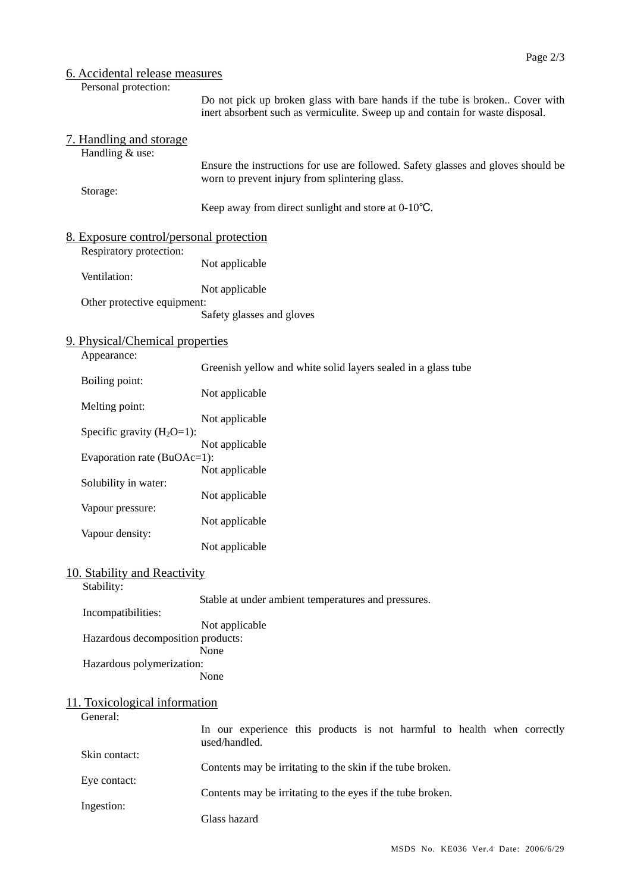## 6. Accidental release measures

Personal protection:

Do not pick up broken glass with bare hands if the tube is broken.. Cover with inert absorbent such as vermiculite. Sweep up and contain for waste disposal.

# 7. Handling and storage

Handling & use:

Storage:

Ensure the instructions for use are followed. Safety glasses and gloves should be worn to prevent injury from splintering glass.

Keep away from direct sunlight and store at 0-10℃.

| 8. Exposure control/personal protection |                           |
|-----------------------------------------|---------------------------|
| Respiratory protection:                 |                           |
|                                         | Not applicable            |
| Ventilation:                            |                           |
|                                         | Not applicable            |
| Other protective equipment:             |                           |
|                                         | Safety glasses and gloves |

#### 9. Physical/Chemical properties Appearance:

| $\ldots$                       | Greenish yellow and white solid layers sealed in a glass tube |  |  |
|--------------------------------|---------------------------------------------------------------|--|--|
| Boiling point:                 |                                                               |  |  |
|                                | Not applicable                                                |  |  |
| Melting point:                 |                                                               |  |  |
|                                | Not applicable                                                |  |  |
| Specific gravity $(H_2O=1)$ :  |                                                               |  |  |
|                                | Not applicable                                                |  |  |
| Evaporation rate $(BuOAc=1)$ : |                                                               |  |  |
|                                | Not applicable                                                |  |  |
| Solubility in water:           |                                                               |  |  |
|                                | Not applicable                                                |  |  |
| Vapour pressure:               |                                                               |  |  |
|                                | Not applicable                                                |  |  |
| Vapour density:                |                                                               |  |  |
|                                | Not applicable                                                |  |  |

#### 10. Stability and Reactivity

Stability:

Incompatibilities:

Stable at under ambient temperatures and pressures.

| Not applicable                    |
|-----------------------------------|
| Hazardous decomposition products: |
| None                              |
| Hazardous polymerization:         |
| None                              |

#### 11. Toxicological information

General:

Eye contact:

In our experience this products is not harmful to health when correctly used/handled.

Skin contact: Contents may be irritating to the skin if the tube broken.

Contents may be irritating to the eyes if the tube broken.

Ingestion: Glass hazard